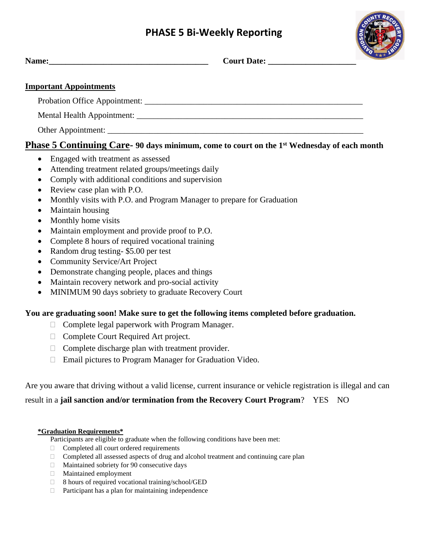# **PHASE 5 Bi-Weekly Reporting**

**Name:\_\_\_\_\_\_\_\_\_\_\_\_\_\_\_\_\_\_\_\_\_\_\_\_\_\_\_\_\_\_\_\_\_\_\_\_\_\_ Court Date: \_\_\_\_\_\_\_\_\_\_\_\_\_\_\_\_\_\_\_\_\_**



| $ -$<br><b>Name:</b><br>- |
|---------------------------|
|---------------------------|

#### **Important Appointments**

Probation Office Appointment: \_\_\_\_\_\_\_\_\_\_\_\_\_\_\_\_\_\_\_\_\_\_\_\_\_\_\_\_\_\_\_\_\_\_\_\_\_\_\_\_\_\_\_\_\_\_\_\_\_\_\_\_

Mental Health Appointment: \_\_\_\_\_\_\_\_\_\_\_\_\_\_\_\_\_\_\_\_\_\_\_\_\_\_\_\_\_\_\_\_\_\_\_\_\_\_\_\_\_\_\_\_\_\_\_\_\_\_\_\_\_\_

Other Appointment:

### **Phase 5 Continuing Care- 90 days minimum, come to court on the 1st Wednesday of each month**

- Engaged with treatment as assessed
- Attending treatment related groups/meetings daily
- Comply with additional conditions and supervision
- Review case plan with P.O.
- Monthly visits with P.O. and Program Manager to prepare for Graduation
- Maintain housing
- Monthly home visits
- Maintain employment and provide proof to P.O.
- Complete 8 hours of required vocational training
- Random drug testing- \$5.00 per test
- Community Service/Art Project
- Demonstrate changing people, places and things
- Maintain recovery network and pro-social activity
- MINIMUM 90 days sobriety to graduate Recovery Court

#### **You are graduating soon! Make sure to get the following items completed before graduation.**

- $\Box$  Complete legal paperwork with Program Manager.
- □ Complete Court Required Art project.
- $\Box$  Complete discharge plan with treatment provider.
- Email pictures to Program Manager for Graduation Video.

Are you aware that driving without a valid license, current insurance or vehicle registration is illegal and can

### result in a **jail sanction and/or termination from the Recovery Court Program**? YES NO

#### **\*Graduation Requirements\***

Participants are eligible to graduate when the following conditions have been met:

- $\Box$  Completed all court ordered requirements
- $\Box$  Completed all assessed aspects of drug and alcohol treatment and continuing care plan
- $\Box$  Maintained sobriety for 90 consecutive days
- Maintained employment
- $\Box$  8 hours of required vocational training/school/GED
- $\Box$  Participant has a plan for maintaining independence